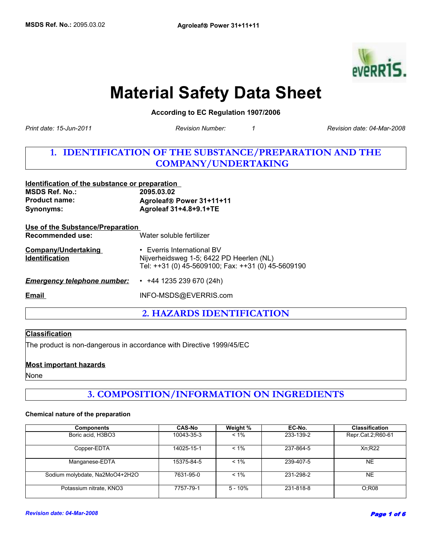

# **Material Safety Data Sheet**

**According to EC Regulation 1907/2006** 

**Revision Number:** 

*Print date: 15-Jun-2011 Revision date: 04-Mar-2008*

# **1. IDENTIFICATION OF THE SUBSTANCE/PREPARATION AND THE COMPANY/UNDERTAKING**

| Identification of the substance or preparation              |                                                                                                                                    |  |
|-------------------------------------------------------------|------------------------------------------------------------------------------------------------------------------------------------|--|
| <b>MSDS Ref. No.:</b>                                       | 2095.03.02                                                                                                                         |  |
| <b>Product name:</b>                                        | Agroleaf® Power 31+11+11                                                                                                           |  |
| Synonyms:                                                   | Agroleaf 31+4.8+9.1+TE                                                                                                             |  |
| Use of the Substance/Preparation<br><b>Recommended use:</b> | Water soluble fertilizer                                                                                                           |  |
| <b>Company/Undertaking</b><br><b>Identification</b>         | $\cdot$ Everris International BV<br>Nijverheidsweg 1-5; 6422 PD Heerlen (NL)<br>Tel: ++31 (0) 45-5609100; Fax: ++31 (0) 45-5609190 |  |
| <b>Emergency telephone number:</b>                          | $\cdot$ +44 1235 239 670 (24h)                                                                                                     |  |
| Email                                                       | INFO-MSDS@EVERRIS.com                                                                                                              |  |
|                                                             |                                                                                                                                    |  |

**2. HAZARDS IDENTIFICATION**

#### **Classification**

The product is non-dangerous in accordance with Directive 1999/45/EC

#### **Most important hazards**

None

# **3. COMPOSITION/INFORMATION ON INGREDIENTS**

#### **Chemical nature of the preparation**

| <b>Components</b>              | <b>CAS-No</b> | Weight % | EC-No.    | <b>Classification</b> |
|--------------------------------|---------------|----------|-----------|-----------------------|
| Boric acid, H3BO3              | 10043-35-3    | $< 1\%$  | 233-139-2 | Repr.Cat.2;R60-61     |
| Copper-EDTA                    | 14025-15-1    | $< 1\%$  | 237-864-5 | Xn;R22                |
| Manganese-EDTA                 | 15375-84-5    | $< 1\%$  | 239-407-5 | <b>NE</b>             |
| Sodium molybdate, Na2MoO4+2H2O | 7631-95-0     | $< 1\%$  | 231-298-2 | <b>NE</b>             |
| Potassium nitrate, KNO3        | 7757-79-1     | 5 - 10%  | 231-818-8 | O:R08                 |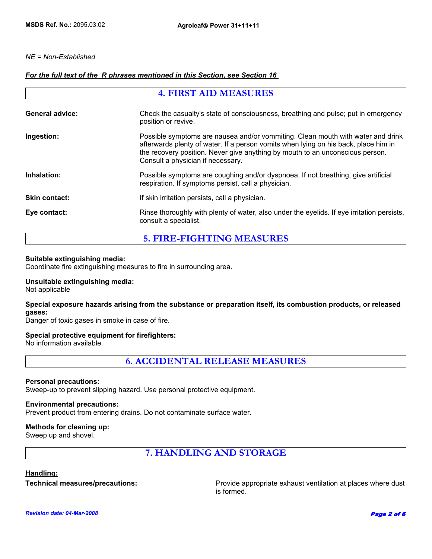#### *NE = Non-Established*

#### *For the full text of the R phrases mentioned in this Section, see Section 16*

| <b>4. FIRST AID MEASURES</b> |                                                                                                                                                                                                                                                                                              |  |
|------------------------------|----------------------------------------------------------------------------------------------------------------------------------------------------------------------------------------------------------------------------------------------------------------------------------------------|--|
| <b>General advice:</b>       | Check the casualty's state of consciousness, breathing and pulse; put in emergency<br>position or revive.                                                                                                                                                                                    |  |
| Ingestion:                   | Possible symptoms are nausea and/or vommiting. Clean mouth with water and drink<br>afterwards plenty of water. If a person vomits when lying on his back, place him in<br>the recovery position. Never give anything by mouth to an unconscious person.<br>Consult a physician if necessary. |  |
| Inhalation:                  | Possible symptoms are coughing and/or dyspnoea. If not breathing, give artificial<br>respiration. If symptoms persist, call a physician.                                                                                                                                                     |  |
| <b>Skin contact:</b>         | If skin irritation persists, call a physician.                                                                                                                                                                                                                                               |  |
| Eye contact:                 | Rinse thoroughly with plenty of water, also under the eyelids. If eye irritation persists,<br>consult a specialist.                                                                                                                                                                          |  |

**5. FIRE-FIGHTING MEASURES**

#### **Suitable extinguishing media:**

Coordinate fire extinguishing measures to fire in surrounding area.

#### **Unsuitable extinguishing media:**

Not applicable

#### **Special exposure hazards arising from the substance or preparation itself, its combustion products, or released gases:**

Danger of toxic gases in smoke in case of fire.

#### **Special protective equipment for firefighters:**

No information available.

**6. ACCIDENTAL RELEASE MEASURES**

#### **Personal precautions:**

Sweep-up to prevent slipping hazard. Use personal protective equipment.

#### **Environmental precautions:**

Prevent product from entering drains. Do not contaminate surface water.

#### **Methods for cleaning up:**

Sweep up and shovel.

**7. HANDLING AND STORAGE**

#### **Handling:**

**Technical measures/precautions:** Provide appropriate exhaust ventilation at places where dust is formed.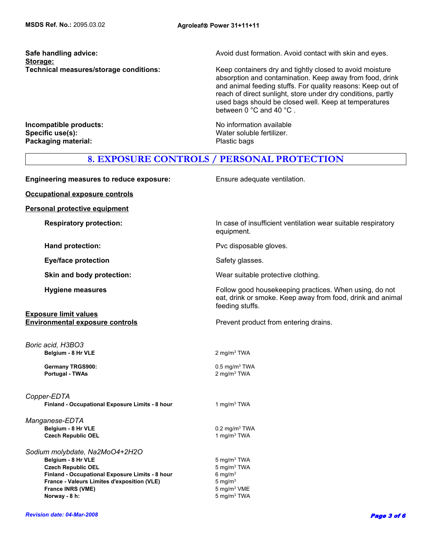Storage:<br>Technical measures/storage conditions:

**Safe handling advice:** Avoid dust formation. Avoid contact with skin and eyes.

Keep containers dry and tightly closed to avoid moisture absorption and contamination. Keep away from food, drink and animal feeding stuffs. For quality reasons: Keep out of reach of direct sunlight, store under dry conditions, partly used bags should be closed well. Keep at temperatures between 0 °C and 40 °C .

**Incompatible products:**<br> **Specific use(s):**<br> **Specific use(s):**<br> **No information available Specific use(s): Packaging material:** 

Water soluble fertilizer.<br>Plastic bags

### **8. EXPOSURE CONTROLS / PERSONAL PROTECTION**

| <b>Engineering measures to reduce exposure:</b>                                                                                                                                                                                  | Ensure adequate ventilation.                                                                                                            |
|----------------------------------------------------------------------------------------------------------------------------------------------------------------------------------------------------------------------------------|-----------------------------------------------------------------------------------------------------------------------------------------|
| <b>Occupational exposure controls</b>                                                                                                                                                                                            |                                                                                                                                         |
| <b>Personal protective equipment</b>                                                                                                                                                                                             |                                                                                                                                         |
| <b>Respiratory protection:</b>                                                                                                                                                                                                   | In case of insufficient ventilation wear suitable respiratory<br>equipment.                                                             |
| Hand protection:                                                                                                                                                                                                                 | Pvc disposable gloves.                                                                                                                  |
| <b>Eye/face protection</b>                                                                                                                                                                                                       | Safety glasses.                                                                                                                         |
| Skin and body protection:                                                                                                                                                                                                        | Wear suitable protective clothing.                                                                                                      |
| <b>Hygiene measures</b>                                                                                                                                                                                                          | Follow good housekeeping practices. When using, do not<br>eat, drink or smoke. Keep away from food, drink and animal<br>feeding stuffs. |
| <b>Exposure limit values</b><br><b>Environmental exposure controls</b>                                                                                                                                                           | Prevent product from entering drains.                                                                                                   |
| Boric acid, H3BO3<br>Belgium - 8 Hr VLE                                                                                                                                                                                          | 2 mg/m <sup>3</sup> TWA                                                                                                                 |
| <b>Germany TRGS900:</b><br>Portugal - TWAs                                                                                                                                                                                       | $0.5$ mg/m <sup>3</sup> TWA<br>2 mg/m <sup>3</sup> TWA                                                                                  |
| Copper-EDTA<br>Finland - Occupational Exposure Limits - 8 hour                                                                                                                                                                   | 1 mg/m <sup>3</sup> TWA                                                                                                                 |
| Manganese-EDTA<br>Belgium - 8 Hr VLE<br><b>Czech Republic OEL</b>                                                                                                                                                                | $0.2 \text{ mg/m}^3$ TWA<br>1 mg/m $3$ TWA                                                                                              |
| Sodium molybdate, Na2MoO4+2H2O<br>Belgium - 8 Hr VLE<br><b>Czech Republic OEL</b><br>Finland - Occupational Exposure Limits - 8 hour<br>France - Valeurs Limites d'exposition (VLE)<br><b>France INRS (VME)</b><br>Norway - 8 h: | 5 mg/m <sup>3</sup> TWA<br>5 mg/m <sup>3</sup> TWA<br>6 mg/m $3$<br>5 mg/ $m3$<br>5 mg/m <sup>3</sup> VME<br>5 mg/m <sup>3</sup> TWA    |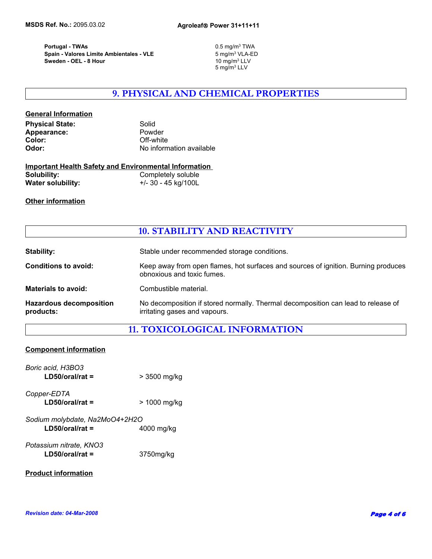**Portugal - TWAs** 0.5 mg/m3 TWA  **Spain - Valores Limite Ambientales - VLE Sweden - OEL - 8 Hour** 

5 mg/m $3$  VLA-ED<br>10 mg/m $3$  LLV 5 mg/m3 LLV

# **9. PHYSICAL AND CHEMICAL PROPERTIES**

#### **General Information**

| <b>Physical State:</b> | Solid                    |
|------------------------|--------------------------|
| Appearance:            | Powder                   |
| Color:                 | Off-white                |
| Odor:                  | No information available |
|                        |                          |

#### **Important Health Safety and Environmental Information Solubility:** Completely soluble<br>
Water solubility:  $\begin{array}{ccc} +/-30 - 45 \text{ kg}/100 \text{L} \end{array}$ **Water solubility:** +/- 30 - 45 kg/100L

#### **Other information**

# **10. STABILITY AND REACTIVITY**

| <b>Stability:</b>                           | Stable under recommended storage conditions.                                                                       |
|---------------------------------------------|--------------------------------------------------------------------------------------------------------------------|
| <b>Conditions to avoid:</b>                 | Keep away from open flames, hot surfaces and sources of ignition. Burning produces<br>obnoxious and toxic fumes.   |
| <b>Materials to avoid:</b>                  | Combustible material.                                                                                              |
| <b>Hazardous decomposition</b><br>products: | No decomposition if stored normally. Thermal decomposition can lead to release of<br>irritating gases and vapours. |

# **11. TOXICOLOGICAL INFORMATION**

#### **Component information**

| Boric acid, H3BO3<br>$LD50/oral/rat =$              | > 3500 mg/kg |
|-----------------------------------------------------|--------------|
| Copper-EDTA<br>$LD50/oral/rat =$                    | > 1000 mg/kg |
| Sodium molybdate, Na2MoO4+2H2O<br>$LD50/oral/rat =$ | 4000 mg/kg   |
| Potassium nitrate, KNO3<br>$LD50/oral/rat =$        | 3750mg/kg    |

#### **Product information**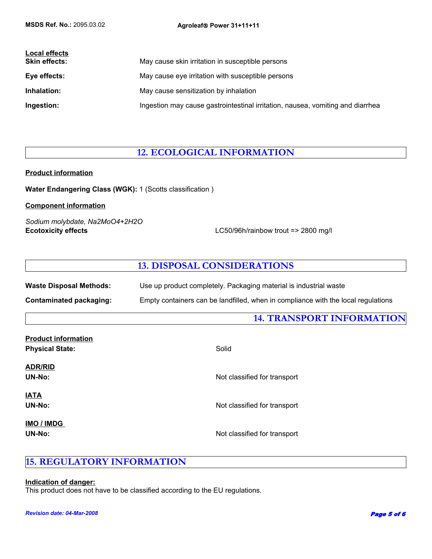| Local effects<br><b>Skin effects:</b> | May cause skin irritation in susceptible persons                               |
|---------------------------------------|--------------------------------------------------------------------------------|
| Eye effects:                          | May cause eye irritation with susceptible persons                              |
| Inhalation:                           | May cause sensitization by inhalation                                          |
| Ingestion:                            | Ingestion may cause gastrointestinal irritation, nausea, vomiting and diarrhea |

# **12. ECOLOGICAL INFORMATION**

#### **Product information**

**Water Endangering Class (WGK):** 1 (Scotts classification )

#### **Component information**

*Sodium molybdate, Na2MoO4+2H2O* **Ecotoxicity effects** LC50/96h/rainbow trout => 2800 mg/l

### **13. DISPOSAL CONSIDERATIONS**

| <b>Waste Disposal Methods:</b> | Use up product completely. Packaging material is industrial waste                 |
|--------------------------------|-----------------------------------------------------------------------------------|
| Contaminated packaging:        | Empty containers can be landfilled, when in compliance with the local regulations |

# **14. TRANSPORT INFORMATION**

| <b>Product information</b><br><b>Physical State:</b> | Solid                        |
|------------------------------------------------------|------------------------------|
| <b>ADR/RID</b><br><b>UN-No:</b>                      | Not classified for transport |
| <b>IATA</b><br><b>UN-No:</b>                         | Not classified for transport |
| <b>IMO / IMDG</b><br>UN-No:                          | Not classified for transport |

### **15. REGULATORY INFORMATION**

#### **Indication of danger:**

This product does not have to be classified according to the EU regulations.